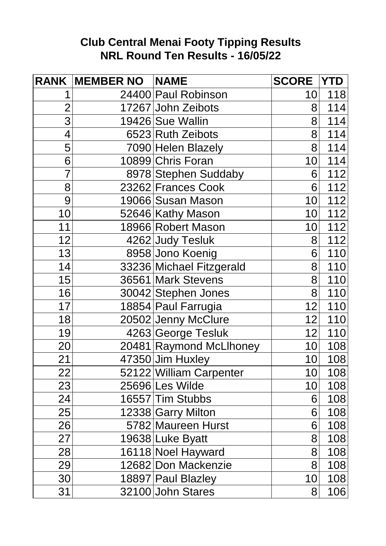## **Club Central Menai Footy Tipping Results NRL Round Ten Results - 16/05/22**

|                | <b>RANK MEMBER NO NAME</b> |                          | <b>SCORE YTD</b> |                  |
|----------------|----------------------------|--------------------------|------------------|------------------|
|                |                            | 24400 Paul Robinson      | 10               | 118              |
| $\overline{2}$ |                            | 17267 John Zeibots       | 8 <sup>1</sup>   | 114              |
| $\overline{3}$ |                            | 19426 Sue Wallin         | 8                | 114              |
| 4              |                            | 6523 Ruth Zeibots        | 8                | 114              |
| 5              |                            | 7090 Helen Blazely       | 8                | 114              |
| 6              |                            | 10899 Chris Foran        | 10 <sub>l</sub>  | 114              |
| $\overline{7}$ |                            | 8978 Stephen Suddaby     | 6                | 112              |
| 8              |                            | 23262 Frances Cook       | 6                | 112              |
| 9              |                            | 19066 Susan Mason        | 10               | 112              |
| 10             |                            | 52646 Kathy Mason        | 10               | 112              |
| 11             |                            | 18966 Robert Mason       | 10               | $\overline{112}$ |
| 12             |                            | 4262 Judy Tesluk         | 8                | 112              |
| 13             |                            | 8958 Jono Koenig         | 6                | 110              |
| 14             |                            | 33236 Michael Fitzgerald | 8                | 110              |
| 15             |                            | 36561 Mark Stevens       | 8                | 110              |
| 16             |                            | 30042 Stephen Jones      | 8                | 110              |
| 17             |                            | 18854 Paul Farrugia      | 12               | 110              |
| 18             |                            | 20502 Jenny McClure      | 12               | 110              |
| 19             |                            | 4263 George Tesluk       | 12               | 110              |
| 20             |                            | 20481 Raymond McLlhoney  | 10               | 108              |
| 21             |                            | 47350 Jim Huxley         | 10               | 108              |
| 22             |                            | 52122 William Carpenter  | 10               | 108              |
| 23             |                            | 25696 Les Wilde          | 10               | 108              |
| 24             |                            | 16557 Tim Stubbs         | 6                | 108              |
| 25             |                            | 12338 Garry Milton       | 6                | 108              |
| 26             |                            | 5782 Maureen Hurst       | 6                | 108              |
| 27             |                            | 19638 Luke Byatt         | 8                | 108              |
| 28             |                            | 16118 Noel Hayward       | 8                | 108              |
| 29             |                            | 12682 Don Mackenzie      | 8                | 108              |
| 30             |                            | 18897 Paul Blazley       | 10               | 108              |
| 31             |                            | 32100 John Stares        | 8                | 106              |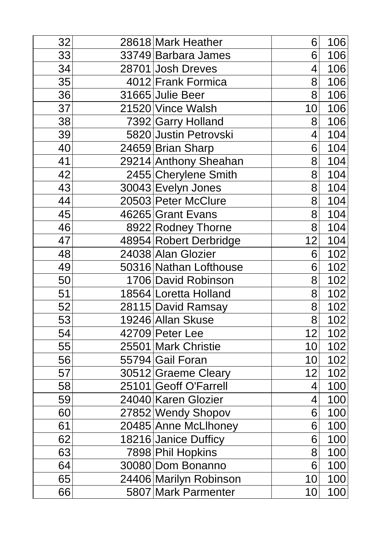| 32 | 28618 Mark Heather     | 6  | 106 |
|----|------------------------|----|-----|
| 33 | 33749 Barbara James    | 6  | 106 |
| 34 | 28701 Josh Dreves      | 4  | 106 |
| 35 | 4012 Frank Formica     | 8  | 106 |
| 36 | 31665 Julie Beer       | 8  | 106 |
| 37 | 21520 Vince Walsh      | 10 | 106 |
| 38 | 7392 Garry Holland     | 8  | 106 |
| 39 | 5820 Justin Petrovski  | 4  | 104 |
| 40 | 24659 Brian Sharp      | 6  | 104 |
| 41 | 29214 Anthony Sheahan  | 8  | 104 |
| 42 | 2455 Cherylene Smith   | 8  | 104 |
| 43 | 30043 Evelyn Jones     | 8  | 104 |
| 44 | 20503 Peter McClure    | 8  | 104 |
| 45 | 46265 Grant Evans      | 8  | 104 |
| 46 | 8922 Rodney Thorne     | 8  | 104 |
| 47 | 48954 Robert Derbridge | 12 | 104 |
| 48 | 24038 Alan Glozier     | 6  | 102 |
| 49 | 50316 Nathan Lofthouse | 6  | 102 |
| 50 | 1706 David Robinson    | 8  | 102 |
| 51 | 18564 Loretta Holland  | 8  | 102 |
| 52 | 28115 David Ramsay     | 8  | 102 |
| 53 | 19246 Allan Skuse      | 8  | 102 |
| 54 | 42709 Peter Lee        | 12 | 102 |
| 55 | 25501 Mark Christie    | 10 | 102 |
| 56 | 55794 Gail Foran       | 10 | 102 |
| 57 | 30512 Graeme Cleary    | 12 | 102 |
| 58 | 25101 Geoff O'Farrell  | 4  | 100 |
| 59 | 24040 Karen Glozier    | 4  | 100 |
| 60 | 27852 Wendy Shopov     | 6  | 100 |
| 61 | 20485 Anne McLlhoney   | 6  | 100 |
| 62 | 18216 Janice Dufficy   | 6  | 100 |
| 63 | 7898 Phil Hopkins      | 8  | 100 |
| 64 | 30080 Dom Bonanno      | 6  | 100 |
| 65 | 24406 Marilyn Robinson | 10 | 100 |
| 66 | 5807 Mark Parmenter    | 10 | 100 |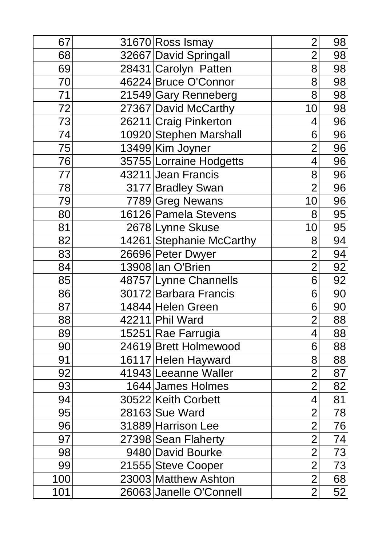| 67  | 31670 Ross Ismay         | $\overline{2}$ | 98 |
|-----|--------------------------|----------------|----|
| 68  | 32667 David Springall    | $\overline{2}$ | 98 |
| 69  | 28431 Carolyn Patten     | 8              | 98 |
| 70  | 46224 Bruce O'Connor     | 8              | 98 |
| 71  | 21549 Gary Renneberg     | 8              | 98 |
| 72  | 27367 David McCarthy     | 10             | 98 |
| 73  | 26211 Craig Pinkerton    | 4              | 96 |
| 74  | 10920 Stephen Marshall   | 6              | 96 |
| 75  | 13499 Kim Joyner         | $\overline{2}$ | 96 |
| 76  | 35755 Lorraine Hodgetts  | $\overline{4}$ | 96 |
| 77  | 43211 Jean Francis       | 8              | 96 |
| 78  | 3177 Bradley Swan        | $\overline{2}$ | 96 |
| 79  | 7789 Greg Newans         | 10             | 96 |
| 80  | 16126 Pamela Stevens     | 8              | 95 |
| 81  | 2678 Lynne Skuse         | 10             | 95 |
| 82  | 14261 Stephanie McCarthy | 8              | 94 |
| 83  | 26696 Peter Dwyer        | $\overline{2}$ | 94 |
| 84  | 13908 Ian O'Brien        | $\overline{2}$ | 92 |
| 85  | 48757 Lynne Channells    | 6              | 92 |
| 86  | 30172 Barbara Francis    | 6              | 90 |
| 87  | 14844 Helen Green        | 6              | 90 |
| 88  | 42211 Phil Ward          | $\overline{2}$ | 88 |
| 89  | 15251 Rae Farrugia       | 4              | 88 |
| 90  | 24619 Brett Holmewood    | 6              | 88 |
| 91  | 16117 Helen Hayward      | 8              | 88 |
| 92  | 41943 Leeanne Waller     | $\overline{2}$ | 87 |
| 93  | 1644 James Holmes        | $\overline{2}$ | 82 |
| 94  | 30522 Keith Corbett      | 4              | 81 |
| 95  | 28163 Sue Ward           | $\overline{2}$ | 78 |
| 96  | 31889 Harrison Lee       | $\overline{2}$ | 76 |
| 97  | 27398 Sean Flaherty      | $\overline{2}$ | 74 |
| 98  | 9480 David Bourke        | $\overline{2}$ | 73 |
| 99  | 21555 Steve Cooper       | $\overline{2}$ | 73 |
| 100 | 23003 Matthew Ashton     | $\overline{2}$ | 68 |
| 101 | 26063 Janelle O'Connell  | $\overline{2}$ | 52 |